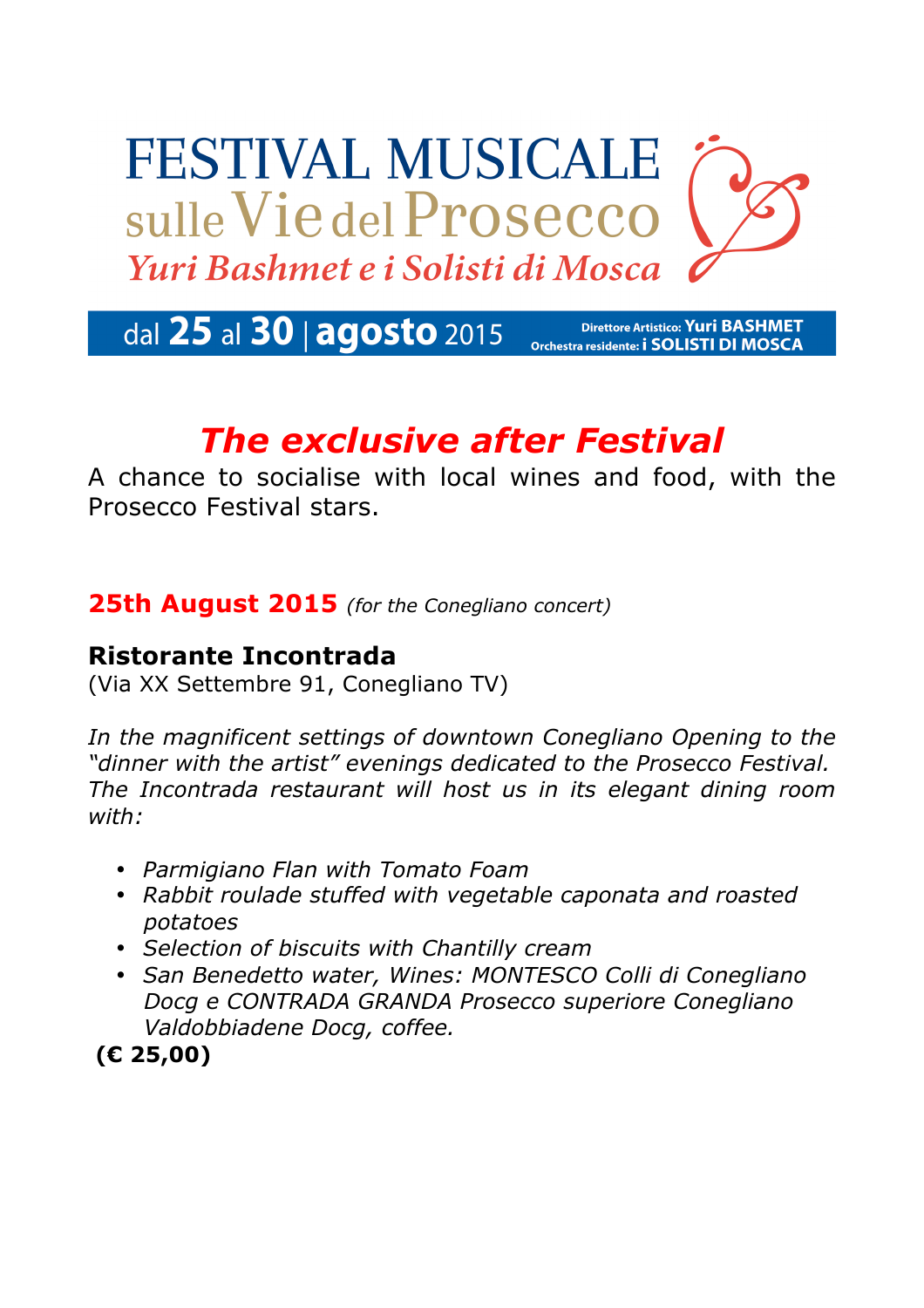# **FESTIVAL MUSICALE** sulle Vie del Prosecco Yuri Bashmet e i Solisti di Mosca

#### dal 25 al 30 | agosto 2015 **Direttore Artistico: Yuri BASHMET** Orchestra residente: i SOLISTI DI MOSCA

## *The exclusive after Festival*

A chance to socialise with local wines and food, with the Prosecco Festival stars.

#### **25th August 2015** *(for the Conegliano concert)*

#### **Ristorante Incontrada**

(Via XX Settembre 91, Conegliano TV)

*In the magnificent settings of downtown Conegliano Opening to the "dinner with the artist" evenings dedicated to the Prosecco Festival. The Incontrada restaurant will host us in its elegant dining room with:*

- *Parmigiano Flan with Tomato Foam*
- *Rabbit roulade stuffed with vegetable caponata and roasted potatoes*
- *Selection of biscuits with Chantilly cream*
- *San Benedetto water, Wines: MONTESCO Colli di Conegliano Docg e CONTRADA GRANDA Prosecco superiore Conegliano Valdobbiadene Docg, coffee.*

**(€ 25,00)**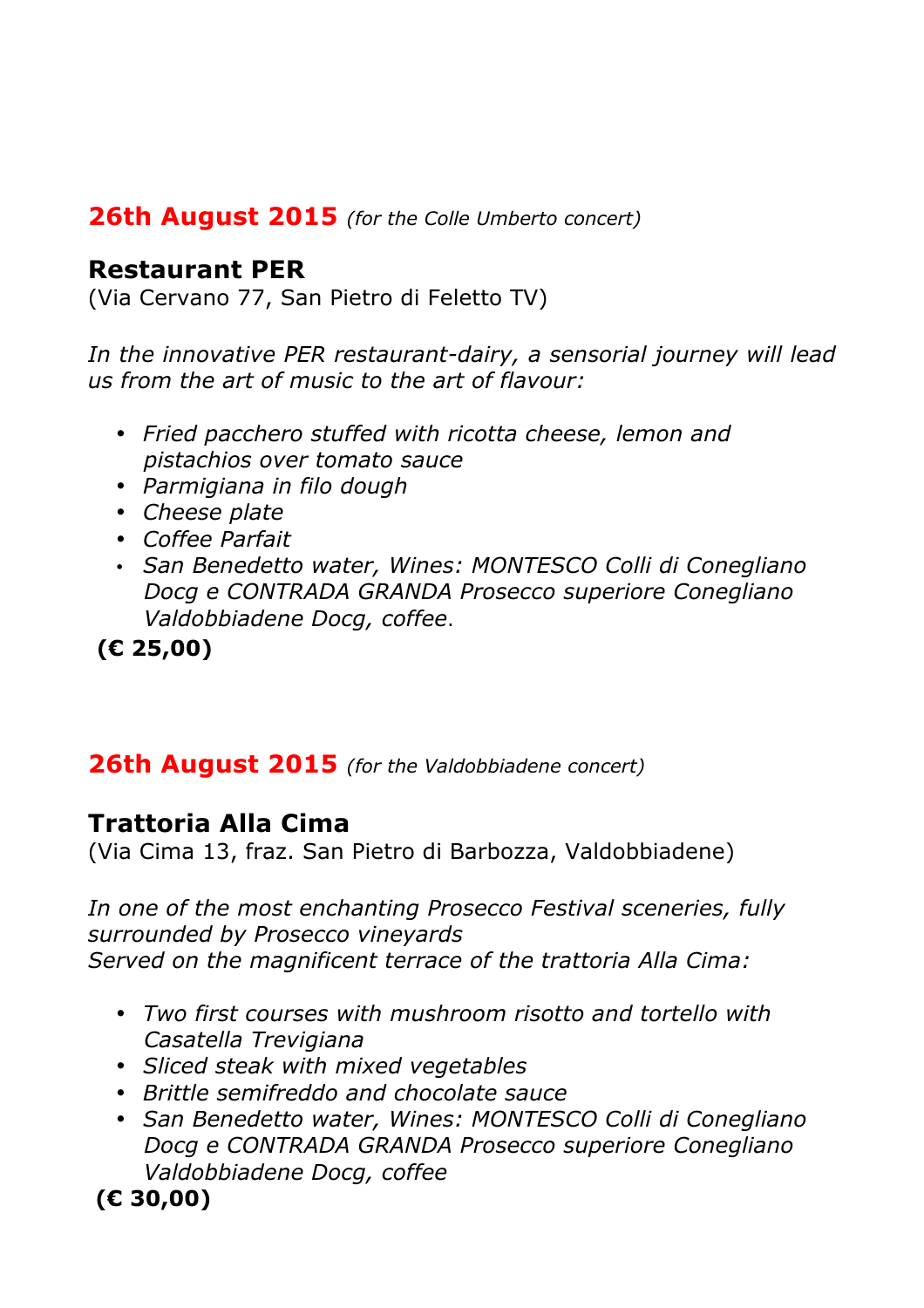#### **26th August 2015** *(for the Colle Umberto concert)*

#### **Restaurant PER**

(Via Cervano 77, San Pietro di Feletto TV)

*In the innovative PER restaurant-dairy, a sensorial journey will lead us from the art of music to the art of flavour:*

- *Fried pacchero stuffed with ricotta cheese, lemon and pistachios over tomato sauce*
- *Parmigiana in filo dough*
- *Cheese plate*
- *Coffee Parfait*
- *San Benedetto water, Wines: MONTESCO Colli di Conegliano Docg e CONTRADA GRANDA Prosecco superiore Conegliano Valdobbiadene Docg, coffee*.

**(€ 25,00)**

### **26th August 2015** *(for the Valdobbiadene concert)*

#### **Trattoria Alla Cima**

(Via Cima 13, fraz. San Pietro di Barbozza, Valdobbiadene)

*In one of the most enchanting Prosecco Festival sceneries, fully surrounded by Prosecco vineyards Served on the magnificent terrace of the trattoria Alla Cima:*

- *Two first courses with mushroom risotto and tortello with Casatella Trevigiana*
- *Sliced steak with mixed vegetables*
- *Brittle semifreddo and chocolate sauce*
- *San Benedetto water, Wines: MONTESCO Colli di Conegliano Docg e CONTRADA GRANDA Prosecco superiore Conegliano Valdobbiadene Docg, coffee*

**(€ 30,00)**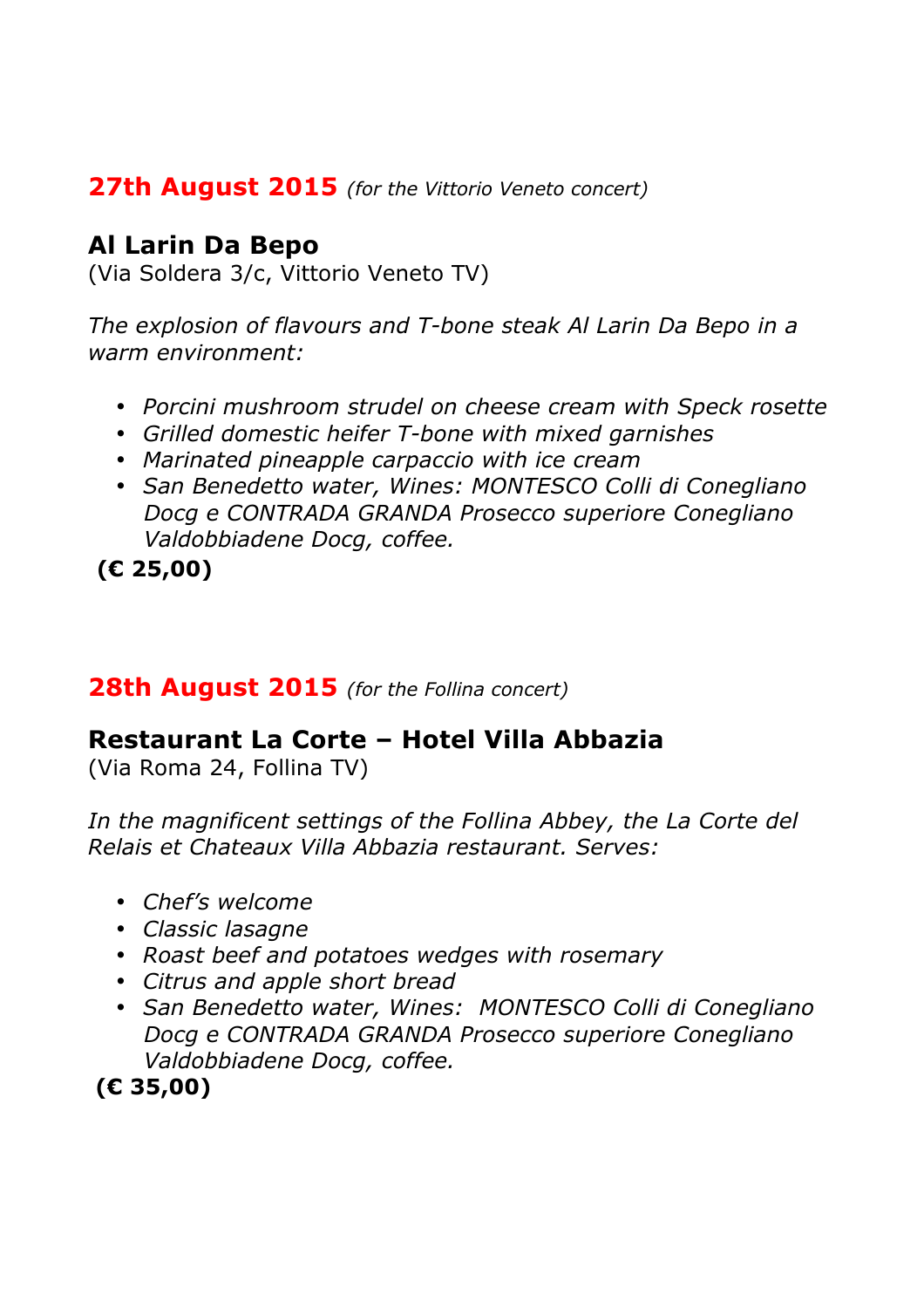#### **27th August 2015** *(for the Vittorio Veneto concert)*

#### **Al Larin Da Bepo**

(Via Soldera 3/c, Vittorio Veneto TV)

*The explosion of flavours and T-bone steak Al Larin Da Bepo in a warm environment:*

- *Porcini mushroom strudel on cheese cream with Speck rosette*
- *Grilled domestic heifer T-bone with mixed garnishes*
- *Marinated pineapple carpaccio with ice cream*
- *San Benedetto water, Wines: MONTESCO Colli di Conegliano Docg e CONTRADA GRANDA Prosecco superiore Conegliano Valdobbiadene Docg, coffee.*

**(€ 25,00)**

#### **28th August 2015** *(for the Follina concert)*

### **Restaurant La Corte – Hotel Villa Abbazia**

(Via Roma 24, Follina TV)

*In the magnificent settings of the Follina Abbey, the La Corte del Relais et Chateaux Villa Abbazia restaurant. Serves:*

- *Chef's welcome*
- *Classic lasagne*
- *Roast beef and potatoes wedges with rosemary*
- *Citrus and apple short bread*
- *San Benedetto water, Wines: MONTESCO Colli di Conegliano Docg e CONTRADA GRANDA Prosecco superiore Conegliano Valdobbiadene Docg, coffee.*

**(€ 35,00)**